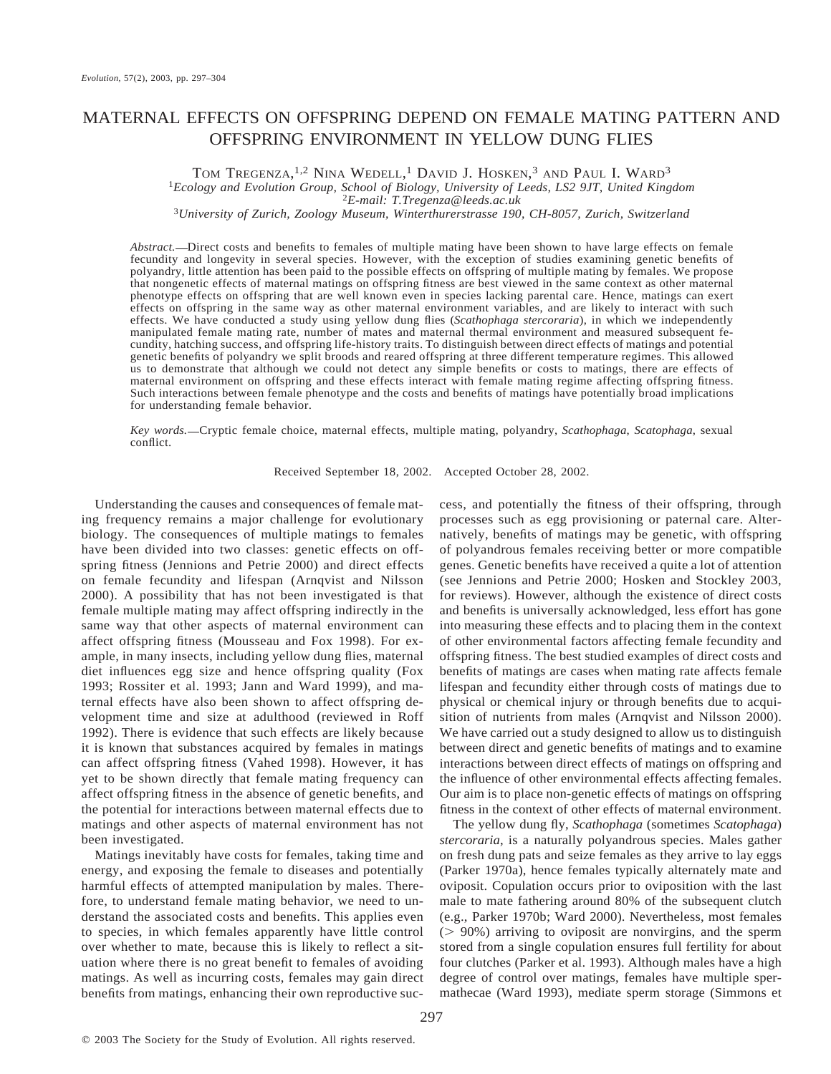# MATERNAL EFFECTS ON OFFSPRING DEPEND ON FEMALE MATING PATTERN AND OFFSPRING ENVIRONMENT IN YELLOW DUNG FLIES

TOM TREGENZA,<sup>1,2</sup> NINA WEDELL,<sup>1</sup> DAVID J. HOSKEN,<sup>3</sup> AND PAUL I. WARD<sup>3</sup> <sup>1</sup>Ecology and Evolution Group, School of Biology, University of Leeds, LS2 9JT, United Kingdom<br><sup>2</sup>E-mail: T.Tregenza@leeds.ac.uk<br><sup>3</sup>University of Zurich, Zoology Museum, Winterthurerstrasse 190, CH-8057, Zurich, Switzerl

*Abstract.* Direct costs and benefits to females of multiple mating have been shown to have large effects on female fecundity and longevity in several species. However, with the exception of studies examining genetic benefits of polyandry, little attention has been paid to the possible effects on offspring of multiple mating by females. We propose that nongenetic effects of maternal matings on offspring fitness are best viewed in the same context as other maternal phenotype effects on offspring that are well known even in species lacking parental care. Hence, matings can exert effects on offspring in the same way as other maternal environment variables, and are likely to interact with such effects. We have conducted a study using yellow dung flies (*Scathophaga stercoraria*), in which we independently manipulated female mating rate, number of mates and maternal thermal environment and measured subsequent fecundity, hatching success, and offspring life-history traits. To distinguish between direct effects of matings and potential genetic benefits of polyandry we split broods and reared offspring at three different temperature regimes. This allowed us to demonstrate that although we could not detect any simple benefits or costs to matings, there are effects of maternal environment on offspring and these effects interact with female mating regime affecting offspring fitness. Such interactions between female phenotype and the costs and benefits of matings have potentially broad implications for understanding female behavior.

*Key words.* Cryptic female choice, maternal effects, multiple mating, polyandry, *Scathophaga*, *Scatophaga*, sexual conflict.

Received September 18, 2002. Accepted October 28, 2002.

Understanding the causes and consequences of female mating frequency remains a major challenge for evolutionary biology. The consequences of multiple matings to females have been divided into two classes: genetic effects on offspring fitness (Jennions and Petrie 2000) and direct effects on female fecundity and lifespan (Arnqvist and Nilsson 2000). A possibility that has not been investigated is that female multiple mating may affect offspring indirectly in the same way that other aspects of maternal environment can affect offspring fitness (Mousseau and Fox 1998). For example, in many insects, including yellow dung flies, maternal diet influences egg size and hence offspring quality (Fox 1993; Rossiter et al. 1993; Jann and Ward 1999), and maternal effects have also been shown to affect offspring development time and size at adulthood (reviewed in Roff 1992). There is evidence that such effects are likely because it is known that substances acquired by females in matings can affect offspring fitness (Vahed 1998). However, it has yet to be shown directly that female mating frequency can affect offspring fitness in the absence of genetic benefits, and the potential for interactions between maternal effects due to matings and other aspects of maternal environment has not been investigated.

Matings inevitably have costs for females, taking time and energy, and exposing the female to diseases and potentially harmful effects of attempted manipulation by males. Therefore, to understand female mating behavior, we need to understand the associated costs and benefits. This applies even to species, in which females apparently have little control over whether to mate, because this is likely to reflect a situation where there is no great benefit to females of avoiding matings. As well as incurring costs, females may gain direct benefits from matings, enhancing their own reproductive success, and potentially the fitness of their offspring, through processes such as egg provisioning or paternal care. Alternatively, benefits of matings may be genetic, with offspring of polyandrous females receiving better or more compatible genes. Genetic benefits have received a quite a lot of attention (see Jennions and Petrie 2000; Hosken and Stockley 2003, for reviews). However, although the existence of direct costs and benefits is universally acknowledged, less effort has gone into measuring these effects and to placing them in the context of other environmental factors affecting female fecundity and offspring fitness. The best studied examples of direct costs and benefits of matings are cases when mating rate affects female lifespan and fecundity either through costs of matings due to physical or chemical injury or through benefits due to acquisition of nutrients from males (Arnqvist and Nilsson 2000). We have carried out a study designed to allow us to distinguish between direct and genetic benefits of matings and to examine interactions between direct effects of matings on offspring and the influence of other environmental effects affecting females. Our aim is to place non-genetic effects of matings on offspring fitness in the context of other effects of maternal environment.

The yellow dung fly, *Scathophaga* (sometimes *Scatophaga*) *stercoraria*, is a naturally polyandrous species. Males gather on fresh dung pats and seize females as they arrive to lay eggs (Parker 1970a), hence females typically alternately mate and oviposit. Copulation occurs prior to oviposition with the last male to mate fathering around 80% of the subsequent clutch (e.g., Parker 1970b; Ward 2000). Nevertheless, most females  $($  > 90%) arriving to oviposit are nonvirgins, and the sperm stored from a single copulation ensures full fertility for about four clutches (Parker et al. 1993). Although males have a high degree of control over matings, females have multiple spermathecae (Ward 1993), mediate sperm storage (Simmons et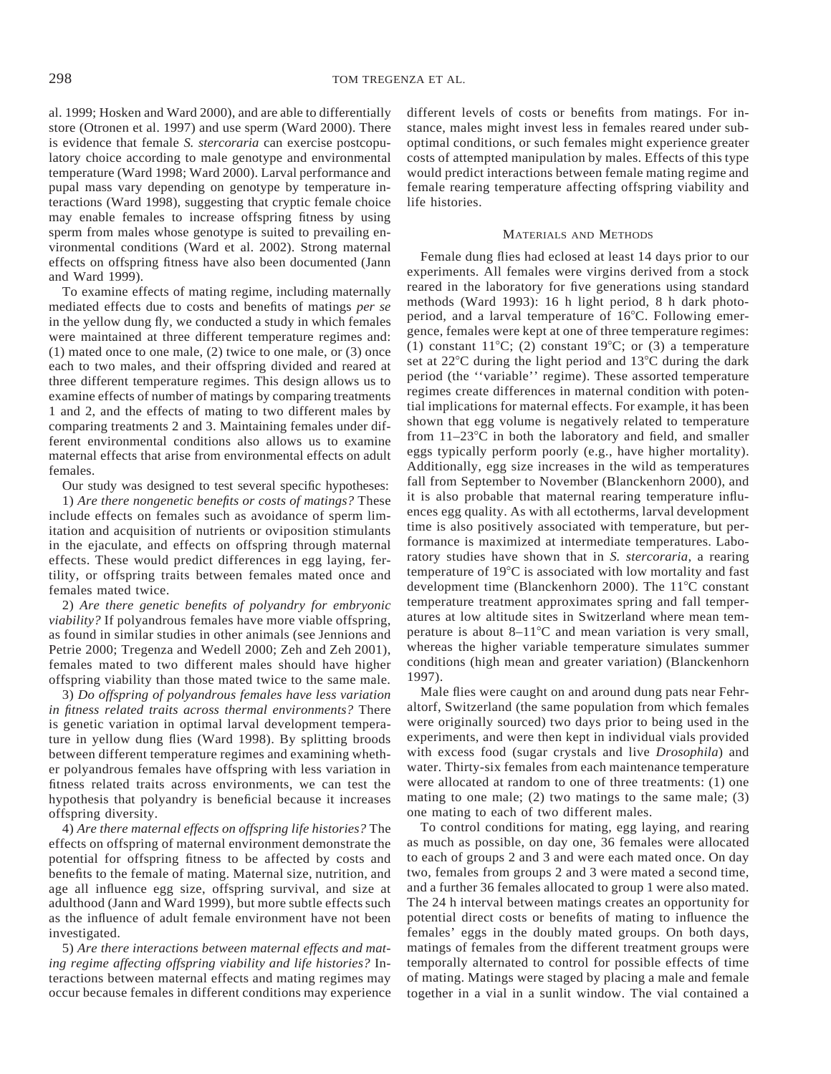al. 1999; Hosken and Ward 2000), and are able to differentially store (Otronen et al. 1997) and use sperm (Ward 2000). There is evidence that female *S. stercoraria* can exercise postcopulatory choice according to male genotype and environmental temperature (Ward 1998; Ward 2000). Larval performance and pupal mass vary depending on genotype by temperature interactions (Ward 1998), suggesting that cryptic female choice may enable females to increase offspring fitness by using sperm from males whose genotype is suited to prevailing environmental conditions (Ward et al. 2002). Strong maternal effects on offspring fitness have also been documented (Jann and Ward 1999).

To examine effects of mating regime, including maternally mediated effects due to costs and benefits of matings *per se* in the yellow dung fly, we conducted a study in which females were maintained at three different temperature regimes and: (1) mated once to one male, (2) twice to one male, or (3) once each to two males, and their offspring divided and reared at three different temperature regimes. This design allows us to examine effects of number of matings by comparing treatments 1 and 2, and the effects of mating to two different males by comparing treatments 2 and 3. Maintaining females under different environmental conditions also allows us to examine maternal effects that arise from environmental effects on adult females.

Our study was designed to test several specific hypotheses:

1) *Are there nongenetic benefits or costs of matings?* These include effects on females such as avoidance of sperm limitation and acquisition of nutrients or oviposition stimulants in the ejaculate, and effects on offspring through maternal effects. These would predict differences in egg laying, fertility, or offspring traits between females mated once and females mated twice.

2) *Are there genetic benefits of polyandry for embryonic viability?* If polyandrous females have more viable offspring, as found in similar studies in other animals (see Jennions and Petrie 2000; Tregenza and Wedell 2000; Zeh and Zeh 2001), females mated to two different males should have higher offspring viability than those mated twice to the same male.

3) *Do offspring of polyandrous females have less variation in fitness related traits across thermal environments?* There is genetic variation in optimal larval development temperature in yellow dung flies (Ward 1998). By splitting broods between different temperature regimes and examining whether polyandrous females have offspring with less variation in fitness related traits across environments, we can test the hypothesis that polyandry is beneficial because it increases offspring diversity.

4) *Are there maternal effects on offspring life histories?* The effects on offspring of maternal environment demonstrate the potential for offspring fitness to be affected by costs and benefits to the female of mating. Maternal size, nutrition, and age all influence egg size, offspring survival, and size at adulthood (Jann and Ward 1999), but more subtle effects such as the influence of adult female environment have not been investigated.

5) *Are there interactions between maternal effects and mating regime affecting offspring viability and life histories?* Interactions between maternal effects and mating regimes may occur because females in different conditions may experience different levels of costs or benefits from matings. For instance, males might invest less in females reared under suboptimal conditions, or such females might experience greater costs of attempted manipulation by males. Effects of this type would predict interactions between female mating regime and female rearing temperature affecting offspring viability and life histories.

### MATERIALS AND METHODS

Female dung flies had eclosed at least 14 days prior to our experiments. All females were virgins derived from a stock reared in the laboratory for five generations using standard methods (Ward 1993): 16 h light period, 8 h dark photoperiod, and a larval temperature of 16°C. Following emergence, females were kept at one of three temperature regimes: (1) constant 11<sup>o</sup>C; (2) constant 19<sup>o</sup>C; or (3) a temperature set at  $22^{\circ}$ C during the light period and  $13^{\circ}$ C during the dark period (the ''variable'' regime). These assorted temperature regimes create differences in maternal condition with potential implications for maternal effects. For example, it has been shown that egg volume is negatively related to temperature from  $11-23^{\circ}$ C in both the laboratory and field, and smaller eggs typically perform poorly (e.g., have higher mortality). Additionally, egg size increases in the wild as temperatures fall from September to November (Blanckenhorn 2000), and it is also probable that maternal rearing temperature influences egg quality. As with all ectotherms, larval development time is also positively associated with temperature, but performance is maximized at intermediate temperatures. Laboratory studies have shown that in *S. stercoraria*, a rearing temperature of  $19^{\circ}$ C is associated with low mortality and fast development time (Blanckenhorn 2000). The  $11^{\circ}$ C constant temperature treatment approximates spring and fall temperatures at low altitude sites in Switzerland where mean temperature is about  $8-11^{\circ}$ C and mean variation is very small, whereas the higher variable temperature simulates summer conditions (high mean and greater variation) (Blanckenhorn 1997).

Male flies were caught on and around dung pats near Fehraltorf, Switzerland (the same population from which females were originally sourced) two days prior to being used in the experiments, and were then kept in individual vials provided with excess food (sugar crystals and live *Drosophila*) and water. Thirty-six females from each maintenance temperature were allocated at random to one of three treatments: (1) one mating to one male; (2) two matings to the same male; (3) one mating to each of two different males.

To control conditions for mating, egg laying, and rearing as much as possible, on day one, 36 females were allocated to each of groups 2 and 3 and were each mated once. On day two, females from groups 2 and 3 were mated a second time, and a further 36 females allocated to group 1 were also mated. The 24 h interval between matings creates an opportunity for potential direct costs or benefits of mating to influence the females' eggs in the doubly mated groups. On both days, matings of females from the different treatment groups were temporally alternated to control for possible effects of time of mating. Matings were staged by placing a male and female together in a vial in a sunlit window. The vial contained a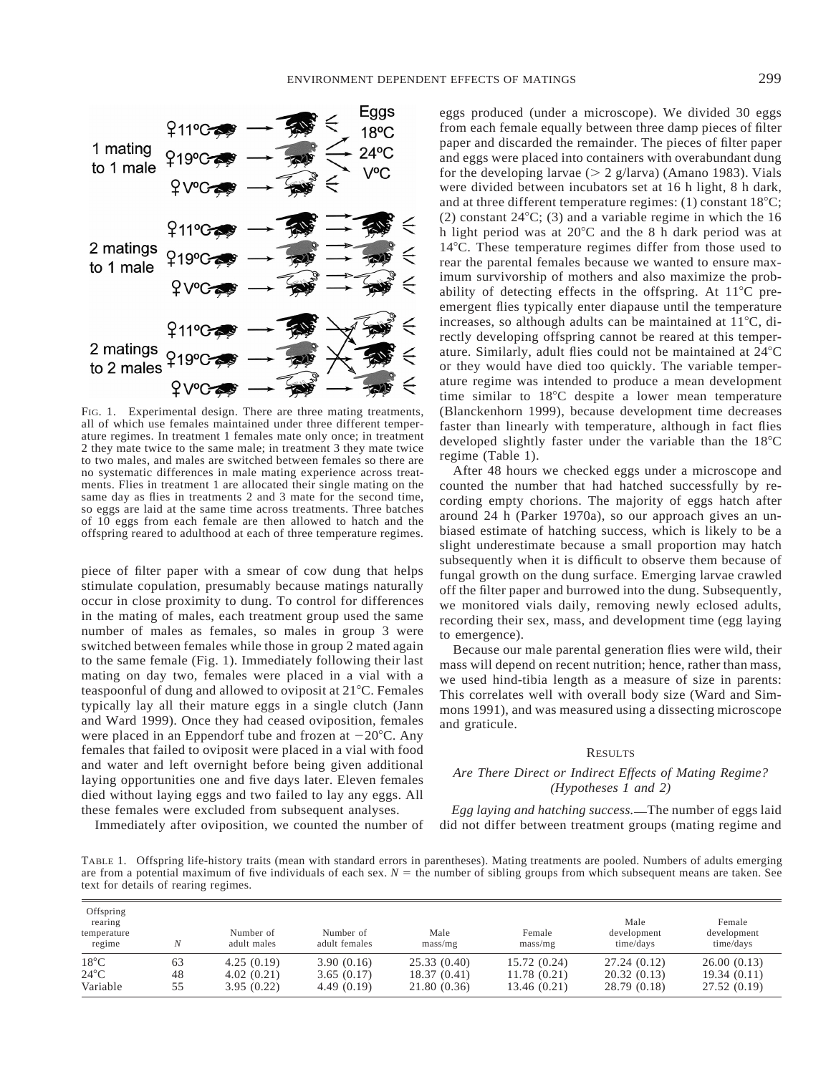

FIG. 1. Experimental design. There are three mating treatments, all of which use females maintained under three different temperature regimes. In treatment 1 females mate only once; in treatment 2 they mate twice to the same male; in treatment 3 they mate twice to two males, and males are switched between females so there are no systematic differences in male mating experience across treatments. Flies in treatment 1 are allocated their single mating on the same day as flies in treatments 2 and 3 mate for the second time, so eggs are laid at the same time across treatments. Three batches of 10 eggs from each female are then allowed to hatch and the offspring reared to adulthood at each of three temperature regimes.

piece of filter paper with a smear of cow dung that helps stimulate copulation, presumably because matings naturally occur in close proximity to dung. To control for differences in the mating of males, each treatment group used the same number of males as females, so males in group 3 were switched between females while those in group 2 mated again to the same female (Fig. 1). Immediately following their last mating on day two, females were placed in a vial with a teaspoonful of dung and allowed to oviposit at  $21^{\circ}$ C. Females typically lay all their mature eggs in a single clutch (Jann and Ward 1999). Once they had ceased oviposition, females were placed in an Eppendorf tube and frozen at  $-20^{\circ}$ C. Any females that failed to oviposit were placed in a vial with food and water and left overnight before being given additional laying opportunities one and five days later. Eleven females died without laying eggs and two failed to lay any eggs. All these females were excluded from subsequent analyses.

from each female equally between three damp pieces of filter paper and discarded the remainder. The pieces of filter paper and eggs were placed into containers with overabundant dung for the developing larvae ( $> 2$  g/larva) (Amano 1983). Vials were divided between incubators set at 16 h light, 8 h dark, and at three different temperature regimes: (1) constant  $18^{\circ}$ C; (2) constant  $24^{\circ}$ C; (3) and a variable regime in which the 16 h light period was at  $20^{\circ}$ C and the 8 h dark period was at 14°C. These temperature regimes differ from those used to rear the parental females because we wanted to ensure maximum survivorship of mothers and also maximize the probability of detecting effects in the offspring. At  $11^{\circ}$ C preemergent flies typically enter diapause until the temperature increases, so although adults can be maintained at  $11^{\circ}C$ , directly developing offspring cannot be reared at this temperature. Similarly, adult flies could not be maintained at  $24^{\circ}$ C or they would have died too quickly. The variable temperature regime was intended to produce a mean development time similar to  $18^{\circ}$ C despite a lower mean temperature (Blanckenhorn 1999), because development time decreases faster than linearly with temperature, although in fact flies developed slightly faster under the variable than the  $18^{\circ}$ C regime (Table 1).

eggs produced (under a microscope). We divided 30 eggs

After 48 hours we checked eggs under a microscope and counted the number that had hatched successfully by recording empty chorions. The majority of eggs hatch after around 24 h (Parker 1970a), so our approach gives an unbiased estimate of hatching success, which is likely to be a slight underestimate because a small proportion may hatch subsequently when it is difficult to observe them because of fungal growth on the dung surface. Emerging larvae crawled off the filter paper and burrowed into the dung. Subsequently, we monitored vials daily, removing newly eclosed adults, recording their sex, mass, and development time (egg laying to emergence).

Because our male parental generation flies were wild, their mass will depend on recent nutrition; hence, rather than mass, we used hind-tibia length as a measure of size in parents: This correlates well with overall body size (Ward and Simmons 1991), and was measured using a dissecting microscope and graticule.

### **RESULTS**

# *Are There Direct or Indirect Effects of Mating Regime? (Hypotheses 1 and 2)*

*Egg laying and hatching success.* The number of eggs laid did not differ between treatment groups (mating regime and

Immediately after oviposition, we counted the number of

TABLE 1. Offspring life-history traits (mean with standard errors in parentheses). Mating treatments are pooled. Numbers of adults emerging are from a potential maximum of five individuals of each sex.  $N =$  the number of sibling groups from which subsequent means are taken. See text for details of rearing regimes.

| Offspring<br>rearing<br>temperature<br>regime | Ν  | Number of<br>adult males | Number of<br>adult females | Male<br>${\rm mass/mg}$ | Female<br>mass/mg | Male<br>development<br>time/days | Female<br>development<br>time/days |
|-----------------------------------------------|----|--------------------------|----------------------------|-------------------------|-------------------|----------------------------------|------------------------------------|
| $18^{\circ}$ C                                | 63 | 4.25(0.19)               | 3.90(0.16)                 | 25.33(0.40)             | 15.72(0.24)       | 27.24(0.12)                      | 26.00(0.13)                        |
| $24^{\circ}$ C                                | 48 | 4.02(0.21)               | 3.65(0.17)                 | 18.37 (0.41)            | 11.78(0.21)       | 20.32(0.13)                      | 19.34(0.11)                        |
| Variable                                      | 55 | 3.95(0.22)               | 4.49(0.19)                 | 21.80 (0.36)            | 13.46 (0.21)      | 28.79 (0.18)                     | 27.52 (0.19)                       |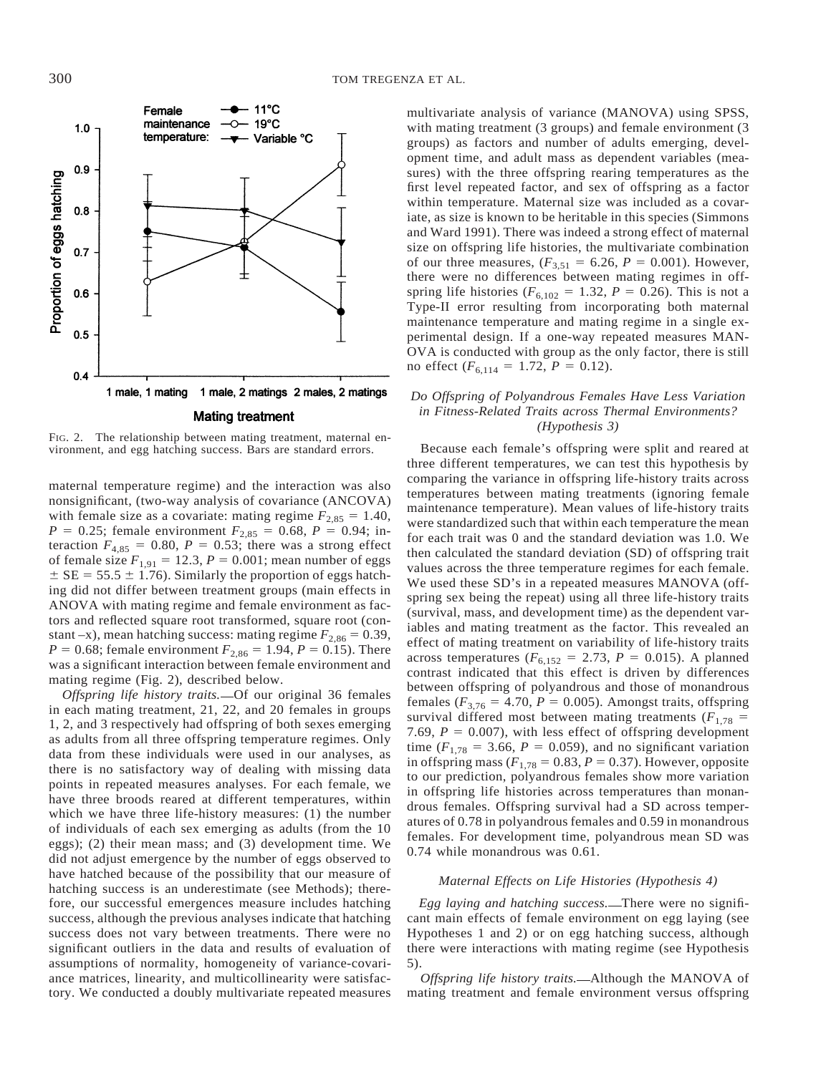

FIG. 2. The relationship between mating treatment, maternal environment, and egg hatching success. Bars are standard errors.

maternal temperature regime) and the interaction was also nonsignificant, (two-way analysis of covariance (ANCOVA) with female size as a covariate: mating regime  $F_{2,85} = 1.40$ ,  $P = 0.25$ ; female environment  $F_{2,85} = 0.68$ ,  $P = 0.94$ ; interaction  $F_{4,85} = 0.80$ ,  $P = 0.53$ ; there was a strong effect of female size  $F_{1,91} = 12.3$ ,  $P = 0.001$ ; mean number of eggs  $\pm$  SE = 55.5  $\pm$  1.76). Similarly the proportion of eggs hatching did not differ between treatment groups (main effects in ANOVA with mating regime and female environment as factors and reflected square root transformed, square root (constant –x), mean hatching success: mating regime  $F_{2.86} = 0.39$ ,  $P = 0.68$ ; female environment  $F_{2.86} = 1.94$ ,  $P = 0.15$ ). There was a significant interaction between female environment and mating regime (Fig. 2), described below.

*Offspring life history traits.* - Of our original 36 females in each mating treatment, 21, 22, and 20 females in groups 1, 2, and 3 respectively had offspring of both sexes emerging as adults from all three offspring temperature regimes. Only data from these individuals were used in our analyses, as there is no satisfactory way of dealing with missing data points in repeated measures analyses. For each female, we have three broods reared at different temperatures, within which we have three life-history measures: (1) the number of individuals of each sex emerging as adults (from the 10 eggs); (2) their mean mass; and (3) development time. We did not adjust emergence by the number of eggs observed to have hatched because of the possibility that our measure of hatching success is an underestimate (see Methods); therefore, our successful emergences measure includes hatching success, although the previous analyses indicate that hatching success does not vary between treatments. There were no significant outliers in the data and results of evaluation of assumptions of normality, homogeneity of variance-covariance matrices, linearity, and multicollinearity were satisfactory. We conducted a doubly multivariate repeated measures multivariate analysis of variance (MANOVA) using SPSS, with mating treatment (3 groups) and female environment (3 groups) as factors and number of adults emerging, development time, and adult mass as dependent variables (measures) with the three offspring rearing temperatures as the first level repeated factor, and sex of offspring as a factor within temperature. Maternal size was included as a covariate, as size is known to be heritable in this species (Simmons and Ward 1991). There was indeed a strong effect of maternal size on offspring life histories, the multivariate combination of our three measures,  $(F_{3,51} = 6.26, P = 0.001)$ . However, there were no differences between mating regimes in offspring life histories ( $F_{6,102} = 1.32$ ,  $P = 0.26$ ). This is not a Type-II error resulting from incorporating both maternal maintenance temperature and mating regime in a single experimental design. If a one-way repeated measures MAN-OVA is conducted with group as the only factor, there is still no effect  $(F_{6,114} = 1.72, P = 0.12)$ .

# *Do Offspring of Polyandrous Females Have Less Variation in Fitness-Related Traits across Thermal Environments? (Hypothesis 3)*

Because each female's offspring were split and reared at three different temperatures, we can test this hypothesis by comparing the variance in offspring life-history traits across temperatures between mating treatments (ignoring female maintenance temperature). Mean values of life-history traits were standardized such that within each temperature the mean for each trait was 0 and the standard deviation was 1.0. We then calculated the standard deviation (SD) of offspring trait values across the three temperature regimes for each female. We used these SD's in a repeated measures MANOVA (offspring sex being the repeat) using all three life-history traits (survival, mass, and development time) as the dependent variables and mating treatment as the factor. This revealed an effect of mating treatment on variability of life-history traits across temperatures ( $F_{6,152} = 2.73$ ,  $P = 0.015$ ). A planned contrast indicated that this effect is driven by differences between offspring of polyandrous and those of monandrous females  $(F_{3,76} = 4.70, P = 0.005)$ . Amongst traits, offspring survival differed most between mating treatments  $(F_{1,78} =$ 7.69,  $P = 0.007$ , with less effect of offspring development time ( $F_{1,78} = 3.66$ ,  $P = 0.059$ ), and no significant variation in offspring mass  $(F_{1,78} = 0.83, P = 0.37)$ . However, opposite to our prediction, polyandrous females show more variation in offspring life histories across temperatures than monandrous females. Offspring survival had a SD across temperatures of 0.78 in polyandrous females and 0.59 in monandrous females. For development time, polyandrous mean SD was 0.74 while monandrous was 0.61.

# *Maternal Effects on Life Histories (Hypothesis 4)*

*Egg laying and hatching success.* There were no significant main effects of female environment on egg laying (see Hypotheses 1 and 2) or on egg hatching success, although there were interactions with mating regime (see Hypothesis 5).

*Offspring life history traits.* Although the MANOVA of mating treatment and female environment versus offspring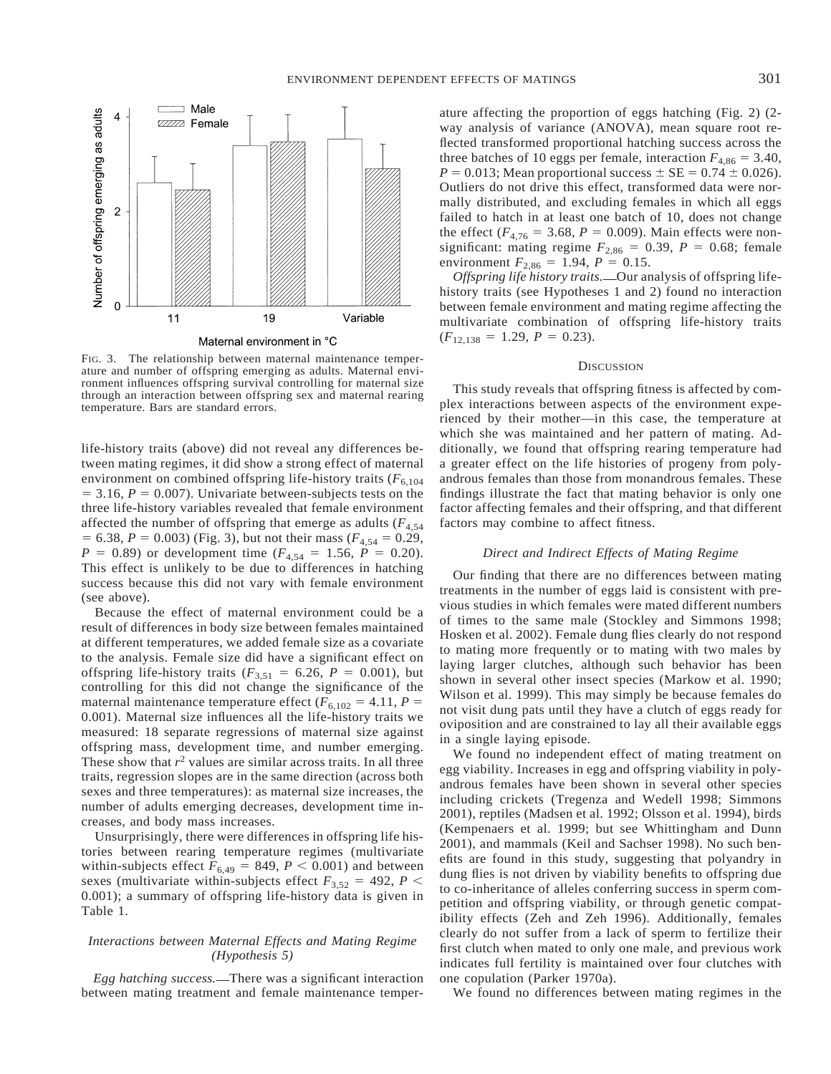

FIG. 3. The relationship between maternal maintenance temperature and number of offspring emerging as adults. Maternal environment influences offspring survival controlling for maternal size through an interaction between offspring sex and maternal rearing temperature. Bars are standard errors.

life-history traits (above) did not reveal any differences between mating regimes, it did show a strong effect of maternal environment on combined offspring life-history traits  $(F_{6,104})$  $= 3.16$ ,  $P = 0.007$ ). Univariate between-subjects tests on the three life-history variables revealed that female environment affected the number of offspring that emerge as adults  $(F_{4,54})$  $= 6.38, P = 0.003$ ) (Fig. 3), but not their mass ( $F_{4,54} = 0.29$ ,  $P = 0.89$  or development time ( $F_{4,54} = 1.56$ ,  $P = 0.20$ ). This effect is unlikely to be due to differences in hatching success because this did not vary with female environment (see above).

Because the effect of maternal environment could be a result of differences in body size between females maintained at different temperatures, we added female size as a covariate to the analysis. Female size did have a significant effect on offspring life-history traits ( $F_{3,51} = 6.26$ ,  $P = 0.001$ ), but controlling for this did not change the significance of the maternal maintenance temperature effect ( $F_{6,102} = 4.11$ ,  $P =$ 0.001). Maternal size influences all the life-history traits we measured: 18 separate regressions of maternal size against offspring mass, development time, and number emerging. These show that  $r^2$  values are similar across traits. In all three traits, regression slopes are in the same direction (across both sexes and three temperatures): as maternal size increases, the number of adults emerging decreases, development time increases, and body mass increases.

Unsurprisingly, there were differences in offspring life histories between rearing temperature regimes (multivariate within-subjects effect  $F_{6,49} = 849$ ,  $P < 0.001$ ) and between sexes (multivariate within-subjects effect  $F_{3,52} = 492$ ,  $P <$ 0.001); a summary of offspring life-history data is given in Table 1.

# *Interactions between Maternal Effects and Mating Regime (Hypothesis 5)*

*Egg hatching success.* There was a significant interaction between mating treatment and female maintenance temper-

ature affecting the proportion of eggs hatching (Fig. 2) (2 way analysis of variance (ANOVA), mean square root reflected transformed proportional hatching success across the three batches of 10 eggs per female, interaction  $F_{4,86} = 3.40$ ,  $P = 0.013$ ; Mean proportional success  $\pm$  SE = 0.74  $\pm$  0.026). Outliers do not drive this effect, transformed data were normally distributed, and excluding females in which all eggs failed to hatch in at least one batch of 10, does not change the effect ( $F_{4,76} = 3.68$ ,  $P = 0.009$ ). Main effects were nonsignificant: mating regime  $F_{2,86} = 0.39$ ,  $P = 0.68$ ; female environment  $F_{2,86} = 1.94$ ,  $P = 0.15$ .

Offspring life history traits. **Our analysis of offspring life**history traits (see Hypotheses 1 and 2) found no interaction between female environment and mating regime affecting the multivariate combination of offspring life-history traits  $(F_{12,138} = 1.29, P = 0.23).$ 

# **DISCUSSION**

This study reveals that offspring fitness is affected by complex interactions between aspects of the environment experienced by their mother—in this case, the temperature at which she was maintained and her pattern of mating. Additionally, we found that offspring rearing temperature had a greater effect on the life histories of progeny from polyandrous females than those from monandrous females. These findings illustrate the fact that mating behavior is only one factor affecting females and their offspring, and that different factors may combine to affect fitness.

# *Direct and Indirect Effects of Mating Regime*

Our finding that there are no differences between mating treatments in the number of eggs laid is consistent with previous studies in which females were mated different numbers of times to the same male (Stockley and Simmons 1998; Hosken et al. 2002). Female dung flies clearly do not respond to mating more frequently or to mating with two males by laying larger clutches, although such behavior has been shown in several other insect species (Markow et al. 1990; Wilson et al. 1999). This may simply be because females do not visit dung pats until they have a clutch of eggs ready for oviposition and are constrained to lay all their available eggs in a single laying episode.

We found no independent effect of mating treatment on egg viability. Increases in egg and offspring viability in polyandrous females have been shown in several other species including crickets (Tregenza and Wedell 1998; Simmons 2001), reptiles (Madsen et al. 1992; Olsson et al. 1994), birds (Kempenaers et al. 1999; but see Whittingham and Dunn 2001), and mammals (Keil and Sachser 1998). No such benefits are found in this study, suggesting that polyandry in dung flies is not driven by viability benefits to offspring due to co-inheritance of alleles conferring success in sperm competition and offspring viability, or through genetic compatibility effects (Zeh and Zeh 1996). Additionally, females clearly do not suffer from a lack of sperm to fertilize their first clutch when mated to only one male, and previous work indicates full fertility is maintained over four clutches with one copulation (Parker 1970a).

We found no differences between mating regimes in the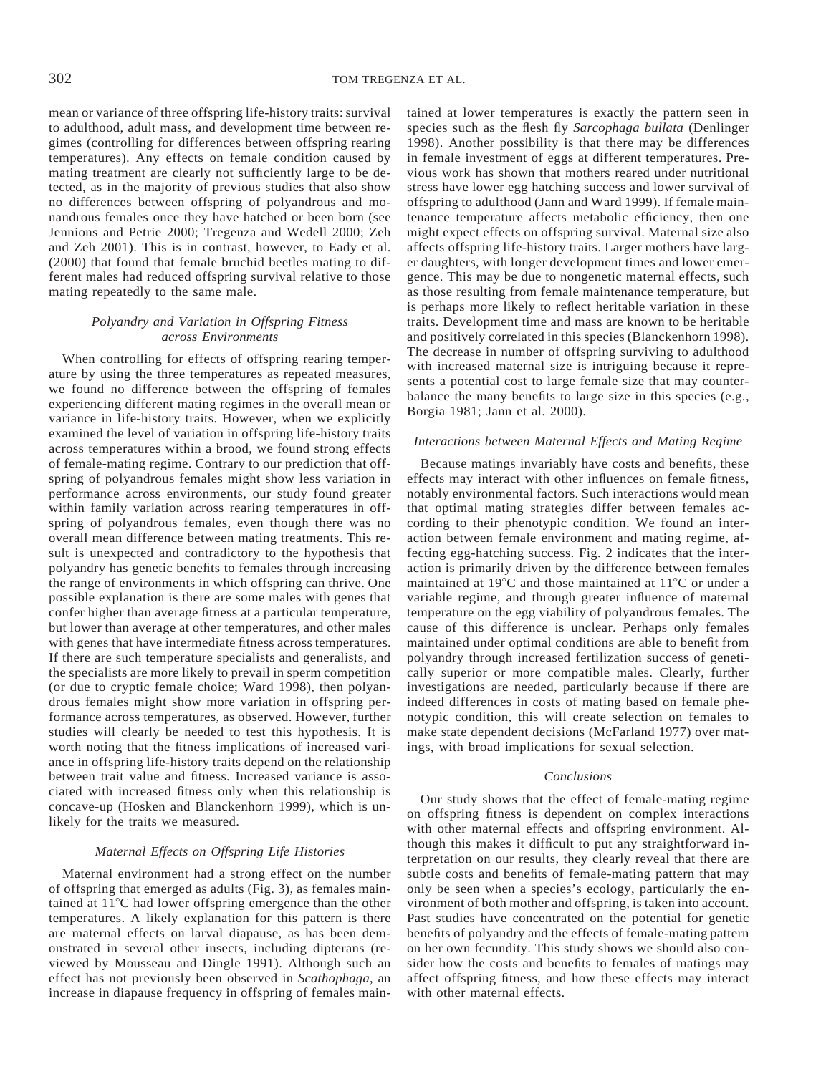mean or variance of three offspring life-history traits: survival to adulthood, adult mass, and development time between regimes (controlling for differences between offspring rearing temperatures). Any effects on female condition caused by mating treatment are clearly not sufficiently large to be detected, as in the majority of previous studies that also show no differences between offspring of polyandrous and monandrous females once they have hatched or been born (see Jennions and Petrie 2000; Tregenza and Wedell 2000; Zeh and Zeh 2001). This is in contrast, however, to Eady et al. (2000) that found that female bruchid beetles mating to different males had reduced offspring survival relative to those mating repeatedly to the same male.

# *Polyandry and Variation in Offspring Fitness across Environments*

When controlling for effects of offspring rearing temperature by using the three temperatures as repeated measures, we found no difference between the offspring of females experiencing different mating regimes in the overall mean or variance in life-history traits. However, when we explicitly examined the level of variation in offspring life-history traits across temperatures within a brood, we found strong effects of female-mating regime. Contrary to our prediction that offspring of polyandrous females might show less variation in performance across environments, our study found greater within family variation across rearing temperatures in offspring of polyandrous females, even though there was no overall mean difference between mating treatments. This result is unexpected and contradictory to the hypothesis that polyandry has genetic benefits to females through increasing the range of environments in which offspring can thrive. One possible explanation is there are some males with genes that confer higher than average fitness at a particular temperature, but lower than average at other temperatures, and other males with genes that have intermediate fitness across temperatures. If there are such temperature specialists and generalists, and the specialists are more likely to prevail in sperm competition (or due to cryptic female choice; Ward 1998), then polyandrous females might show more variation in offspring performance across temperatures, as observed. However, further studies will clearly be needed to test this hypothesis. It is worth noting that the fitness implications of increased variance in offspring life-history traits depend on the relationship between trait value and fitness. Increased variance is associated with increased fitness only when this relationship is concave-up (Hosken and Blanckenhorn 1999), which is unlikely for the traits we measured.

# *Maternal Effects on Offspring Life Histories*

Maternal environment had a strong effect on the number of offspring that emerged as adults (Fig. 3), as females maintained at  $11^{\circ}$ C had lower offspring emergence than the other temperatures. A likely explanation for this pattern is there are maternal effects on larval diapause, as has been demonstrated in several other insects, including dipterans (reviewed by Mousseau and Dingle 1991). Although such an effect has not previously been observed in *Scathophaga*, an increase in diapause frequency in offspring of females maintained at lower temperatures is exactly the pattern seen in species such as the flesh fly *Sarcophaga bullata* (Denlinger 1998). Another possibility is that there may be differences in female investment of eggs at different temperatures. Previous work has shown that mothers reared under nutritional stress have lower egg hatching success and lower survival of offspring to adulthood (Jann and Ward 1999). If female maintenance temperature affects metabolic efficiency, then one might expect effects on offspring survival. Maternal size also affects offspring life-history traits. Larger mothers have larger daughters, with longer development times and lower emergence. This may be due to nongenetic maternal effects, such as those resulting from female maintenance temperature, but is perhaps more likely to reflect heritable variation in these traits. Development time and mass are known to be heritable and positively correlated in this species (Blanckenhorn 1998). The decrease in number of offspring surviving to adulthood with increased maternal size is intriguing because it represents a potential cost to large female size that may counterbalance the many benefits to large size in this species (e.g., Borgia 1981; Jann et al. 2000).

### *Interactions between Maternal Effects and Mating Regime*

Because matings invariably have costs and benefits, these effects may interact with other influences on female fitness, notably environmental factors. Such interactions would mean that optimal mating strategies differ between females according to their phenotypic condition. We found an interaction between female environment and mating regime, affecting egg-hatching success. Fig. 2 indicates that the interaction is primarily driven by the difference between females maintained at  $19^{\circ}$ C and those maintained at  $11^{\circ}$ C or under a variable regime, and through greater influence of maternal temperature on the egg viability of polyandrous females. The cause of this difference is unclear. Perhaps only females maintained under optimal conditions are able to benefit from polyandry through increased fertilization success of genetically superior or more compatible males. Clearly, further investigations are needed, particularly because if there are indeed differences in costs of mating based on female phenotypic condition, this will create selection on females to make state dependent decisions (McFarland 1977) over matings, with broad implications for sexual selection.

### *Conclusions*

Our study shows that the effect of female-mating regime on offspring fitness is dependent on complex interactions with other maternal effects and offspring environment. Although this makes it difficult to put any straightforward interpretation on our results, they clearly reveal that there are subtle costs and benefits of female-mating pattern that may only be seen when a species's ecology, particularly the environment of both mother and offspring, is taken into account. Past studies have concentrated on the potential for genetic benefits of polyandry and the effects of female-mating pattern on her own fecundity. This study shows we should also consider how the costs and benefits to females of matings may affect offspring fitness, and how these effects may interact with other maternal effects.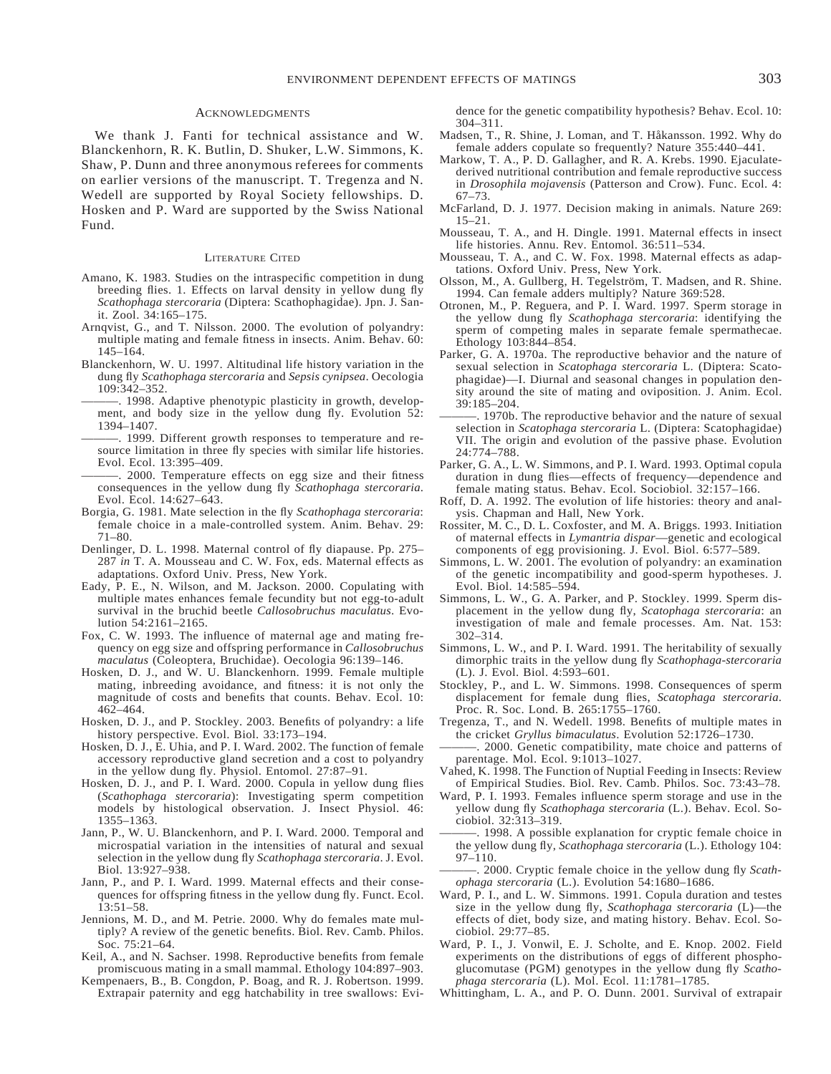### **ACKNOWLEDGMENTS**

We thank J. Fanti for technical assistance and W. Blanckenhorn, R. K. Butlin, D. Shuker, L.W. Simmons, K. Shaw, P. Dunn and three anonymous referees for comments on earlier versions of the manuscript. T. Tregenza and N. Wedell are supported by Royal Society fellowships. D. Hosken and P. Ward are supported by the Swiss National Fund.

#### LITERATURE CITED

- Amano, K. 1983. Studies on the intraspecific competition in dung breeding flies. 1. Effects on larval density in yellow dung fly *Scathophaga stercoraria* (Diptera: Scathophagidae). Jpn. J. Sanit. Zool. 34:165–175.
- Arnqvist, G., and T. Nilsson. 2000. The evolution of polyandry: multiple mating and female fitness in insects. Anim. Behav. 60: 145–164.
- Blanckenhorn, W. U. 1997. Altitudinal life history variation in the dung fly *Scathophaga stercoraria* and *Sepsis cynipsea*. Oecologia 109:342–352.
	- -. 1998. Adaptive phenotypic plasticity in growth, development, and body size in the yellow dung fly. Evolution 52: 1394–1407.
	- ———. 1999. Different growth responses to temperature and resource limitation in three fly species with similar life histories. Evol. Ecol. 13:395–409.
- -. 2000. Temperature effects on egg size and their fitness consequences in the yellow dung fly *Scathophaga stercoraria*. Evol. Ecol. 14:627–643.
- Borgia, G. 1981. Mate selection in the fly *Scathophaga stercoraria*: female choice in a male-controlled system. Anim. Behav. 29: 71–80.
- Denlinger, D. L. 1998. Maternal control of fly diapause. Pp. 275– 287 *in* T. A. Mousseau and C. W. Fox, eds. Maternal effects as adaptations. Oxford Univ. Press, New York.
- Eady, P. E., N. Wilson, and M. Jackson. 2000. Copulating with multiple mates enhances female fecundity but not egg-to-adult survival in the bruchid beetle *Callosobruchus maculatus*. Evolution 54:2161–2165.
- Fox, C. W. 1993. The influence of maternal age and mating frequency on egg size and offspring performance in *Callosobruchus maculatus* (Coleoptera, Bruchidae). Oecologia 96:139–146.
- Hosken, D. J., and W. U. Blanckenhorn. 1999. Female multiple mating, inbreeding avoidance, and fitness: it is not only the magnitude of costs and benefits that counts. Behav. Ecol. 10: 462–464.
- Hosken, D. J., and P. Stockley. 2003. Benefits of polyandry: a life history perspective. Evol. Biol. 33:173–194.
- Hosken, D. J., E. Uhia, and P. I. Ward. 2002. The function of female accessory reproductive gland secretion and a cost to polyandry in the yellow dung fly. Physiol. Entomol. 27:87–91.
- Hosken, D. J., and P. I. Ward. 2000. Copula in yellow dung flies (*Scathophaga stercoraria*): Investigating sperm competition models by histological observation. J. Insect Physiol. 46: 1355–1363.
- Jann, P., W. U. Blanckenhorn, and P. I. Ward. 2000. Temporal and microspatial variation in the intensities of natural and sexual selection in the yellow dung fly *Scathophaga stercoraria*. J. Evol. Biol. 13:927–938.
- Jann, P., and P. I. Ward. 1999. Maternal effects and their consequences for offspring fitness in the yellow dung fly. Funct. Ecol. 13:51–58.
- Jennions, M. D., and M. Petrie. 2000. Why do females mate multiply? A review of the genetic benefits. Biol. Rev. Camb. Philos. Soc. 75:21–64.
- Keil, A., and N. Sachser. 1998. Reproductive benefits from female promiscuous mating in a small mammal. Ethology 104:897–903.
- Kempenaers, B., B. Congdon, P. Boag, and R. J. Robertson. 1999. Extrapair paternity and egg hatchability in tree swallows: Evi-

dence for the genetic compatibility hypothesis? Behav. Ecol. 10: 304–311.

- Madsen, T., R. Shine, J. Loman, and T. Håkansson. 1992. Why do female adders copulate so frequently? Nature 355:440–441.
- Markow, T. A., P. D. Gallagher, and R. A. Krebs. 1990. Ejaculatederived nutritional contribution and female reproductive success in *Drosophila mojavensis* (Patterson and Crow). Func. Ecol. 4: 67–73.
- McFarland, D. J. 1977. Decision making in animals. Nature 269: 15–21.
- Mousseau, T. A., and H. Dingle. 1991. Maternal effects in insect life histories. Annu. Rev. Entomol. 36:511–534.
- Mousseau, T. A., and C. W. Fox. 1998. Maternal effects as adaptations. Oxford Univ. Press, New York.
- Olsson, M., A. Gullberg, H. Tegelström, T. Madsen, and R. Shine. 1994. Can female adders multiply? Nature 369:528.
- Otronen, M., P. Reguera, and P. I. Ward. 1997. Sperm storage in the yellow dung fly *Scathophaga stercoraria*: identifying the sperm of competing males in separate female spermathecae. Ethology 103:844–854.
- Parker, G. A. 1970a. The reproductive behavior and the nature of sexual selection in *Scatophaga stercoraria* L. (Diptera: Scatophagidae)—I. Diurnal and seasonal changes in population density around the site of mating and oviposition. J. Anim. Ecol. 39:185–204.
- ———. 1970b. The reproductive behavior and the nature of sexual selection in *Scatophaga stercoraria* L. (Diptera: Scatophagidae) VII. The origin and evolution of the passive phase. Evolution 24:774–788.
- Parker, G. A., L. W. Simmons, and P. I. Ward. 1993. Optimal copula duration in dung flies—effects of frequency—dependence and female mating status. Behav. Ecol. Sociobiol. 32:157–166.
- Roff, D. A. 1992. The evolution of life histories: theory and analysis. Chapman and Hall, New York.
- Rossiter, M. C., D. L. Coxfoster, and M. A. Briggs. 1993. Initiation of maternal effects in *Lymantria dispar*—genetic and ecological components of egg provisioning. J. Evol. Biol. 6:577–589.
- Simmons, L. W. 2001. The evolution of polyandry: an examination of the genetic incompatibility and good-sperm hypotheses. J. Evol. Biol. 14:585–594.
- Simmons, L. W., G. A. Parker, and P. Stockley. 1999. Sperm displacement in the yellow dung fly, *Scatophaga stercoraria*: an investigation of male and female processes. Am. Nat. 153: 302–314.
- Simmons, L. W., and P. I. Ward. 1991. The heritability of sexually dimorphic traits in the yellow dung fly *Scathophaga-stercoraria* (L). J. Evol. Biol. 4:593–601.
- Stockley, P., and L. W. Simmons. 1998. Consequences of sperm displacement for female dung flies, *Scatophaga stercoraria*. Proc. R. Soc. Lond. B. 265:1755–1760.
- Tregenza, T., and N. Wedell. 1998. Benefits of multiple mates in the cricket *Gryllus bimaculatus*. Evolution 52:1726–1730.
- ———. 2000. Genetic compatibility, mate choice and patterns of parentage. Mol. Ecol. 9:1013–1027.
- Vahed, K. 1998. The Function of Nuptial Feeding in Insects: Review of Empirical Studies. Biol. Rev. Camb. Philos. Soc. 73:43–78.
- Ward, P. I. 1993. Females influence sperm storage and use in the yellow dung fly *Scathophaga stercoraria* (L.). Behav. Ecol. Sociobiol. 32:313–319.
- -. 1998. A possible explanation for cryptic female choice in the yellow dung fly, *Scathophaga stercoraria* (L.). Ethology 104: 97–110.

-. 2000. Cryptic female choice in the yellow dung fly *Scathophaga stercoraria* (L.). Evolution 54:1680–1686.

- Ward, P. I., and L. W. Simmons. 1991. Copula duration and testes size in the yellow dung fly, *Scathophaga stercoraria* (L)—the effects of diet, body size, and mating history. Behav. Ecol. Sociobiol. 29:77–85.
- Ward, P. I., J. Vonwil, E. J. Scholte, and E. Knop. 2002. Field experiments on the distributions of eggs of different phosphoglucomutase (PGM) genotypes in the yellow dung fly *Scathophaga stercoraria* (L). Mol. Ecol. 11:1781–1785.
- Whittingham, L. A., and P. O. Dunn. 2001. Survival of extrapair